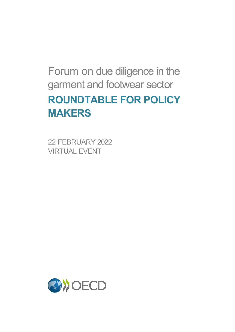# Forum on due diligence in the garment and footwear sector **ROUNDTABLE FOR POLICY MAKERS**

22 FEBRUARY 2022 VIRTUAL EVENT

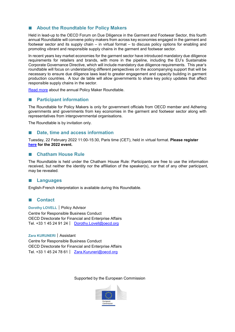# ■ **About the Roundtable for Policy Makers**

Held in lead-up to the OECD Forum on Due Diligence in the Garment and Footwear Sector, this fourth annual Roundtable will convene policy makers from across key economies engaged in the garment and footwear sector and its supply chain – in virtual format – to discuss policy options for enabling and promoting vibrant and responsible supply chains in the garment and footwear sector.

In recent years key market economies for the garment sector have introduced mandatory due diligence requirements for retailers and brands, with more in the pipeline, including the EU's Sustainable Corporate Governance Directive, which will include mandatory due diligence requirements. This year's roundtable will focus on understanding different perspectives on the accompanying support that will be necessary to ensure due diligence laws lead to greater engagement and capacity building in garment production countries. A tour de table will allow governments to share key policy updates that affect responsible supply chains in the sector.

[Read more](https://mneguidelines.oecd.org/policy-maker-roundtable-for-responsible-supply-chains-in-the-garment-footwear-supply-chains.pdf) about the annual Policy Maker Roundtable.

# **Participant information**

The Roundtable for Policy Makers is only for government officials from OECD member and Adhering governments and governments from key economies in the garment and footwear sector along with representatives from intergovernmental organisations.

The Roundtable is by invitation only.

# **Date, time and access information**

Tuesday, 22 February 2022 11:00-15:30, Paris time (CET), held in virtual format. **Please register [here](https://meetoecd1.zoom.us/meeting/register/tJAqcOyhqzMoGdbcl59h-rySU0dH6tyG8b_W) for the 2022 event.**

# **Chatham House Rule**

The Roundtable is held under the Chatham House Rule: Participants are free to use the information received, but neither the identity nor the affiliation of the speaker(s), nor that of any other participant, may be revealed.

# **Languages**

English-French interpretation is available during this Roundtable.

# ■ **Contact**

**Dorothy LOVELL**|Policy Advisor Centre for Responsible Business Conduct OECD Directorate for Financial and Enterprise Affairs Tel. +33 1 45 24 91 24| [Dorothy.Lovell@oecd.org](mailto:Dorothy.Lovell@oecd.org)

### **Zara KURUNERI**|Assistant

Centre for Responsible Business Conduct OECD Directorate for Financial and Enterprise Affairs Tel. +33 1 45 24 78 61 | [Zara.Kuruneri@oecd.org](mailto:Zara.Kuruneri@oecd.org)

### Supported by the European Commission

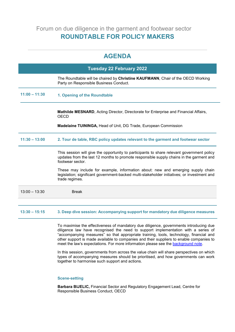Forum on due diligence in the garment and footwear sector **ROUNDTABLE FOR POLICY MAKERS** 

# **AGENDA**

|                 | <b>Tuesday 22 February 2022</b>                                                                                                                                                                           |
|-----------------|-----------------------------------------------------------------------------------------------------------------------------------------------------------------------------------------------------------|
|                 | The Roundtable will be chaired by Christine KAUFMANN, Chair of the OECD Working<br>Party on Responsible Business Conduct.                                                                                 |
| $11:00 - 11:30$ | 1. Opening of the Roundtable                                                                                                                                                                              |
|                 | <b>Mathilde MESNARD, Acting Director, Directorate for Enterprise and Financial Affairs,</b><br><b>OECD</b>                                                                                                |
|                 | <b>Madelaine TUININGA, Head of Unit, DG Trade, European Commission</b>                                                                                                                                    |
| $11:30 - 13:00$ | 2. Tour de table, RBC policy updates relevant to the garment and footwear sector                                                                                                                          |
|                 | This session will give the opportunity to participants to share relevant government policy<br>updates from the last 12 months to promote responsible supply chains in the garment and<br>footwear sector. |
|                 | These may include for example, information about: new and emerging supply chain<br>legislation; significant government-backed multi-stakeholder initiatives; or investment and<br>trade regimes.          |
| $13:00 - 13:30$ | <b>Break</b>                                                                                                                                                                                              |
|                 |                                                                                                                                                                                                           |

## **13:30 – 15:15 3. Deep dive session: Accompanying support for mandatory due diligence measures**

To maximise the effectiveness of mandatory due diligence, governments introducing due diligence law have recognised the need to support implementation with a series of "accompanying measures" so that appropriate training, tools, technology, financial and other support is made available to companies and their suppliers to enable companies to meet the law's expectations. For more information please see the [background note.](#page-3-0)

In this session, governments from across the value chain will share perspectives on which types of accompanying measures should be prioritised, and how governments can work together to harmonise such support and actions.

# **Scene-setting**

**Barbara BIJELIC,** Financial Sector and Regulatory Engagement Lead, Centre for Responsible Business Conduct, OECD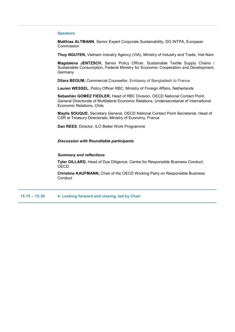#### **Speakers**

**Matthias ALTMANN**, Senior Expert Corporate Sustainability, DG INTPA, European Commission

**Thuy NGUYEN,** Vietnam Industry Agency (VIA), Ministry of Industry and Trade, Viet Nam

**Magdalena JENTZSCH**, Senior Policy Officer, Sustainable Textile Supply Chains / Sustainable Consumption, Federal Ministry for Economic Cooperation and Development, **Germany** 

**Dilara BEGUM,** Commercial Counsellor, Embassy of Bangladesh to France

**Lauren WESSEL**, Policy Officer RBC, Ministry of Foreign Affairs, Netherlands

**Sebastián GOMEZ FIEDLER,** Head of RBC Division, OECD National Contact Point, General Directorate of Multilateral Economic Relations, Undersecretariat of International Economic Relations, Chile

**Maylis SOUQUE**, Secretary General, OECD National Contact Point Secretariat, Head of CSR at Treasury Directorate, Ministry of Economy, France

**Dan REES**, Director, ILO Better Work Programme

*Discussion with Roundtable participants* 

#### *Summary and reflections*

**Tyler GILLARD,** Head of Due Diligence, Centre for Responsible Business Conduct, **OECD** 

**Christine KAUFMANN,** Chair of the OECD Working Party on Responsible Business **Conduct** 

<span id="page-3-0"></span>**15:15 – 15:30 4. Looking forward and closing, led by Chair**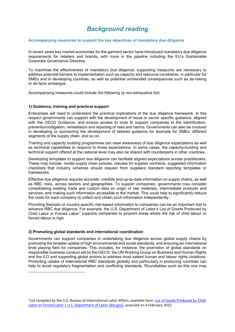# *Background reading*

#### **Accompanying measures to support the key objectives of mandatory due diligence**

In recent years key market economies for the garment sector have introduced mandatory due diligence requirements for retailers and brands, with more in the pipeline including the EU's Sustainable Corporate Governance Directive.

To maximise the effectiveness of mandatory due diligence, supporting measures are necessary to address potential barriers to implementation such as capacity and resource constraints, in particular for SMEs and in developing countries, as well as potential unintended consequences such as de-risking or de facto embargos.

Accompanying measures could include the following (a non-exhaustive list):

#### **1) Guidance, training and practical support**

Enterprises will need to understand the practical implications of the due diligence framework. In this respect governments can support with the development of issue or sector specific guidance, aligned with the OECD Guidance, and ensure access to tools to support companies in the identification, prevention/mitigation, remediation and reporting of risks and harms. Governments can also be involved in developing or sponsoring the development of tailored guidance for example for SMEs, different segments of the supply chain, and so on.

Training and capacity building programmes can raise awareness of due diligence expectations as well as technical capabilities to respond to those expectations. In some cases, the capacity-building and technical support offered at the national level may also be shared with counterparts in other countries.

Developing templates to support due diligence can facilitate aligned expectations across practitioners. These may include: model supply chain policies, clauses for supplier contracts, suggested information checklists that industry schemes should request from suppliers standard reporting templates or frameworks.

Effective due diligence requires accurate, credible and up-to-date information on supply chains, as well as RBC risks, across sectors and geographies. To support companies, governments may consider consolidating existing trade and custom data on origin of raw materials, intermediate products and services, and making such information accessible to the market. This could help to significantly reduce the costs for each company to collect and obtain such information independently.

Providing thematic or country-specific risk-based information to companies can be an important tool to advance RBC due diligence. For example, the U.S. Department of Labor's List of Goods Produced by Child Labor or Forced Labor<sup>[1](#page-4-0)</sup> supports companies to pinpoint areas where the risk of child labour or forced labour is high.

#### **2) Promoting global standards and international coordination**

1

Governments can support companies in undertaking due diligence across global supply chains by promoting the broader uptake of high environmental and social standards, and ensuring an international level playing field for companies. This includes, for instance, the promotion of global standards on responsible business conduct set by the OECD, the UN Working Group on Business and Human Rights and the ILO and supporting global actions to address most salient human and labour rights violations. Promoting uptake of international RBC standards globally and particularly in producing countries can help to avoid regulatory fragmentation and conflicting standards. Roundtables such as this one may

<span id="page-4-0"></span><sup>&</sup>lt;sup>1</sup> List compiled by the U.S. Bureau of International Labor Affairs, available here: List of Goods Produced by Child [Labor or Forced Labor | U.S. Department of Labor \(dol.gov\),](https://www.dol.gov/agencies/ilab/reports/child-labor/list-of-goods) accessed on 4 February 2022.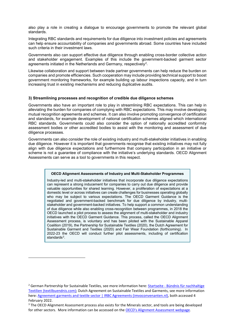also play a role in creating a dialogue to encourage governments to promote the relevant global standards.

Integrating RBC standards and requirements for due diligence into investment policies and agreements can help ensure accountability of companies and governments abroad. Some countries have included such criteria in their investment laws.

Governments also can support effective due diligence through enabling cross-border collective action and stakeholder engagement. Examples of this include the government-backed garment sector agreements initiated in the Netherlands and Germany, respectively<sup>2</sup>.

Likewise collaboration and support between trade partner governments can help reduce the burden on companies and promote efficiencies. Such cooperation may include providing technical support to boost government monitoring frameworks, for example building up labour inspections capacity, and in turn increasing trust in existing mechanisms and reducing duplicative audits.

#### **3) Streamlining processes and recognition of credible due diligence schemes**

Governments also have an important role to play in streamlining RBC expectations. This can help in alleviating the burden for companies of complying with RBC expectations. This may involve developing mutual recognition agreements and schemes. It can also involve promoting convergence of certification and standards, for example development of national certification schemes aligned which international RBC standards. Governments could also consider the option of nationally accredited conformity assessment bodies or other accredited bodies to assist with the monitoring and assessment of due diligence processes.

Governments can also consider the role of existing industry and multi-stakeholder initiatives in enabling due diligence. However it is important that governments recognise that existing initiatives may not fully align with due diligence expectations and furthermore that company participation in an initiative or scheme is not a guarantee of compliance with the initiative's underlying standards. OECD Alignment Assessments can serve as a tool to governments in this respect.

#### **OECD Alignment Assessments of Industry and Multi-Stakeholder Programmes**

Industry-led and multi-stakeholder initiatives that incorporate due diligence expectations can represent a strong inducement for companies to carry out due diligence and provide valuable opportunities for shared learning. However, a proliferation of expectations at a domestic level or across initiatives can create challenges for businesses operating globally who may be subject to various expectations. The OECD Garment Guidance is the negotiated and government-backed benchmark for due diligence by industry, multistakeholder and government-backed initiatives. To help support a common understanding of due diligence while also enabling cross-recognition between programmes, in 2018 the OECD launched a pilot process to assess the alignment of multi-stakeholder and industry initiatives with the OECD Garment Guidance. This process, called the OECD Alignment Assessment process, is voluntary and has been piloted with the Sustainable Apparel Coalition (2019), the Partnership for Sustainable Textiles (2020), the Dutch Agreement for Sustainable Garment and Textiles (2020) and Fair Wear Foundation (forthcoming). In 2022-23 the OECD will conduct further pilot assessments, including of certification standards<sup>3</sup>

**.** 

<span id="page-5-0"></span><sup>&</sup>lt;sup>2</sup> German Partnership for Sustainable Textiles, see more information here: **Startseite - Bündnis für nachhaltige** [Textilien \(textilbuendnis.com\);](https://www.textilbuendnis.com/en/) Dutch Agreement on Sustainable Textiles and Garments, see more information here[: Agreement garments and textile sector | IRBC Agreements \(imvoconvenanten.nl\),](https://www.imvoconvenanten.nl/en/garments-textile#:%7E:text=The%20Dutch%20Agreement%20on%20Sustainable,animal%20welfare%20in%20production%20countries.) both accessed 4 February 2022.

<span id="page-5-1"></span><sup>&</sup>lt;sup>3</sup> The OECD Alignment Assessment process also exists for the Minerals sector, and tools are being developed for other sectors. More information can be accessed on the [OECD's Alignment Assessment webpage](https://www.oecd.org/corporate/industry-initiatives-alignment-assessment.htm).